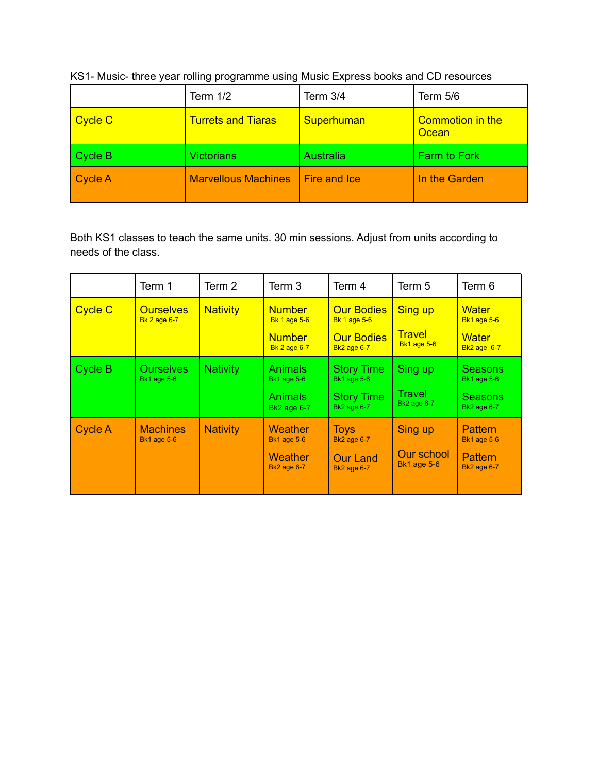|                | Term $1/2$                 | Term 3/4     | Term 5/6                         |
|----------------|----------------------------|--------------|----------------------------------|
| <b>Cycle C</b> | <b>Turrets and Tiaras</b>  | Superhuman   | <b>Commotion in the</b><br>Ocean |
| <b>Cycle B</b> | <b>Victorians</b>          | Australia    | <b>Farm to Fork</b>              |
| <b>Cycle A</b> | <b>Marvellous Machines</b> | Fire and Ice | In the Garden                    |

KS1- Music- three year rolling programme using Music Express books and CD resources

Both KS1 classes to teach the same units. 30 min sessions. Adjust from units according to needs of the class.

|                | Term 1                                  | Term 2          | Term 3                                                                       | Term 4                                                                              | Term 5                                                | Term 6                                                                       |
|----------------|-----------------------------------------|-----------------|------------------------------------------------------------------------------|-------------------------------------------------------------------------------------|-------------------------------------------------------|------------------------------------------------------------------------------|
| <b>Cycle C</b> | <b>Ourselves</b><br><b>Bk 2 age 6-7</b> | <b>Nativity</b> | <b>Number</b><br><b>Bk 1 age 5-6</b><br><b>Number</b><br><b>Bk 2 age 6-7</b> | <b>Our Bodies</b><br><b>Bk 1 age 5-6</b><br><b>Our Bodies</b><br><b>Bk2</b> age 6-7 | <b>Sing up</b><br><b>Travel</b><br><b>Bk1 age 5-6</b> | <b>Water</b><br><b>Bk1 age 5-6</b><br>Water<br><b>Bk2 age 6-7</b>            |
| Cycle B        | Ourselves<br><b>Bk1</b> age 5-6         | <b>Nativity</b> | <b>Animals</b><br><b>Bk1</b> age 5-6<br><b>Animals</b><br><b>Bk2</b> age 6-7 | <b>Story Time</b><br><b>Bk1</b> age 5-6<br><b>Story Time</b><br><b>Bk2</b> age 6-7  | Sing up<br>Travel<br><b>Bk2</b> age 6-7               | <b>Seasons</b><br><b>Bk1</b> age 5-6<br><b>Seasons</b><br><b>Bk2</b> age 6-7 |
| <b>Cycle A</b> | <b>Machines</b><br><b>Bk1 age 5-6</b>   | <b>Nativity</b> | Weather<br><b>Bk1 age 5-6</b><br><b>Weather</b><br><b>Bk2 age 6-7</b>        | <b>Toys</b><br><b>Bk2</b> age 6-7<br><b>Our Land</b><br><b>Bk2</b> age 6-7          | Sing up<br>Our school<br><b>Bk1 age 5-6</b>           | <b>Pattern</b><br><b>Bk1 age 5-6</b><br><b>Pattern</b><br><b>Bk2 age 6-7</b> |